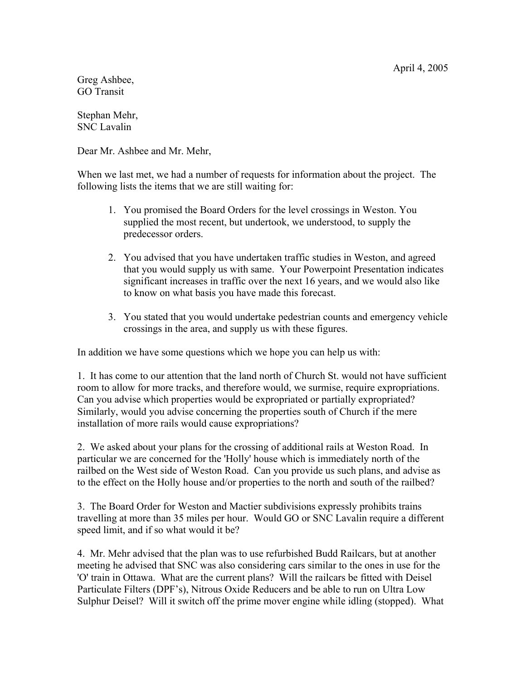April 4, 2005

Greg Ashbee, GO Transit

Stephan Mehr, SNC Lavalin

Dear Mr. Ashbee and Mr. Mehr,

When we last met, we had a number of requests for information about the project. The following lists the items that we are still waiting for:

- 1. You promised the Board Orders for the level crossings in Weston. You supplied the most recent, but undertook, we understood, to supply the predecessor orders.
- 2. You advised that you have undertaken traffic studies in Weston, and agreed that you would supply us with same. Your Powerpoint Presentation indicates significant increases in traffic over the next 16 years, and we would also like to know on what basis you have made this forecast.
- 3. You stated that you would undertake pedestrian counts and emergency vehicle crossings in the area, and supply us with these figures.

In addition we have some questions which we hope you can help us with:

1. It has come to our attention that the land north of Church St. would not have sufficient room to allow for more tracks, and therefore would, we surmise, require expropriations. Can you advise which properties would be expropriated or partially expropriated? Similarly, would you advise concerning the properties south of Church if the mere installation of more rails would cause expropriations?

2. We asked about your plans for the crossing of additional rails at Weston Road. In particular we are concerned for the 'Holly' house which is immediately north of the railbed on the West side of Weston Road. Can you provide us such plans, and advise as to the effect on the Holly house and/or properties to the north and south of the railbed?

3. The Board Order for Weston and Mactier subdivisions expressly prohibits trains travelling at more than 35 miles per hour. Would GO or SNC Lavalin require a different speed limit, and if so what would it be?

4. Mr. Mehr advised that the plan was to use refurbished Budd Railcars, but at another meeting he advised that SNC was also considering cars similar to the ones in use for the 'O' train in Ottawa. What are the current plans? Will the railcars be fitted with Deisel Particulate Filters (DPF's), Nitrous Oxide Reducers and be able to run on Ultra Low Sulphur Deisel? Will it switch off the prime mover engine while idling (stopped). What